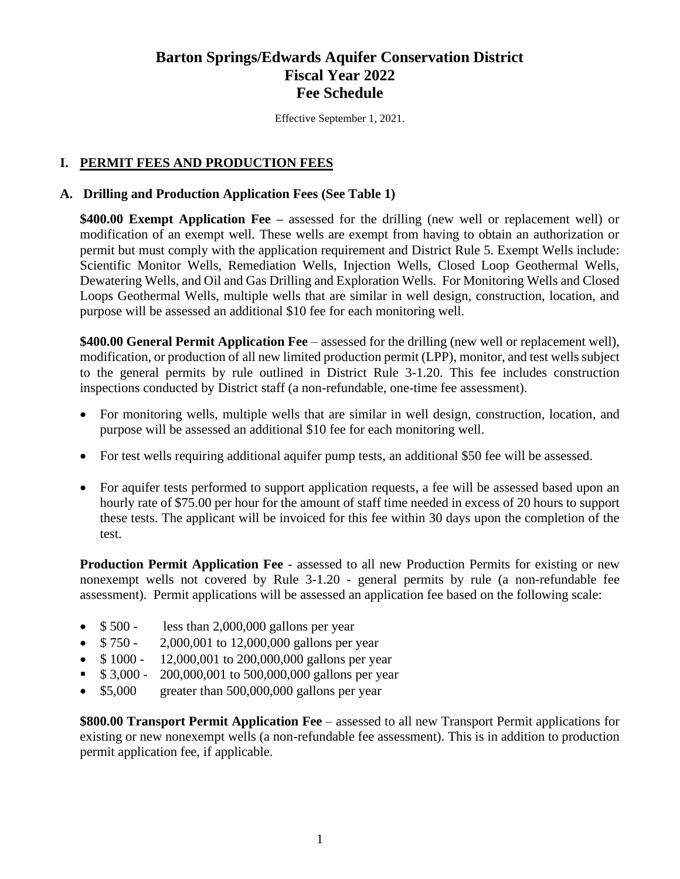# **Barton Springs/Edwards Aquifer Conservation District Fiscal Year 2022 Fee Schedule**

Effective September 1, 2021.

## **I. PERMIT FEES AND PRODUCTION FEES**

#### **A. Drilling and Production Application Fees (See Table 1)**

**\$400.00 Exempt Application Fee –** assessed for the drilling (new well or replacement well) or modification of an exempt well. These wells are exempt from having to obtain an authorization or permit but must comply with the application requirement and District Rule 5. Exempt Wells include: Scientific Monitor Wells, Remediation Wells, Injection Wells, Closed Loop Geothermal Wells, Dewatering Wells, and Oil and Gas Drilling and Exploration Wells. For Monitoring Wells and Closed Loops Geothermal Wells, multiple wells that are similar in well design, construction, location, and purpose will be assessed an additional \$10 fee for each monitoring well.

**\$400.00 General Permit Application Fee** – assessed for the drilling (new well or replacement well), modification, or production of all new limited production permit (LPP), monitor, and test wells subject to the general permits by rule outlined in District Rule 3-1.20. This fee includes construction inspections conducted by District staff (a non-refundable, one-time fee assessment).

- For monitoring wells, multiple wells that are similar in well design, construction, location, and purpose will be assessed an additional \$10 fee for each monitoring well.
- For test wells requiring additional aquifer pump tests, an additional \$50 fee will be assessed.
- For aquifer tests performed to support application requests, a fee will be assessed based upon an hourly rate of \$75.00 per hour for the amount of staff time needed in excess of 20 hours to support these tests. The applicant will be invoiced for this fee within 30 days upon the completion of the test.

**Production Permit Application Fee** - assessed to all new Production Permits for existing or new nonexempt wells not covered by Rule 3-1.20 - general permits by rule (a non-refundable fee assessment). Permit applications will be assessed an application fee based on the following scale:

- $$500 less than 2,000,000 gallons per year$
- \$750 2,000,001 to 12,000,000 gallons per year
- \$1000 12,000,001 to 200,000,000 gallons per year
- \$ 3,000 200,000,001 to 500,000,000 gallons per year
- \$5,000 greater than 500,000,000 gallons per year

**\$800.00 Transport Permit Application Fee** – assessed to all new Transport Permit applications for existing or new nonexempt wells (a non-refundable fee assessment). This is in addition to production permit application fee, if applicable.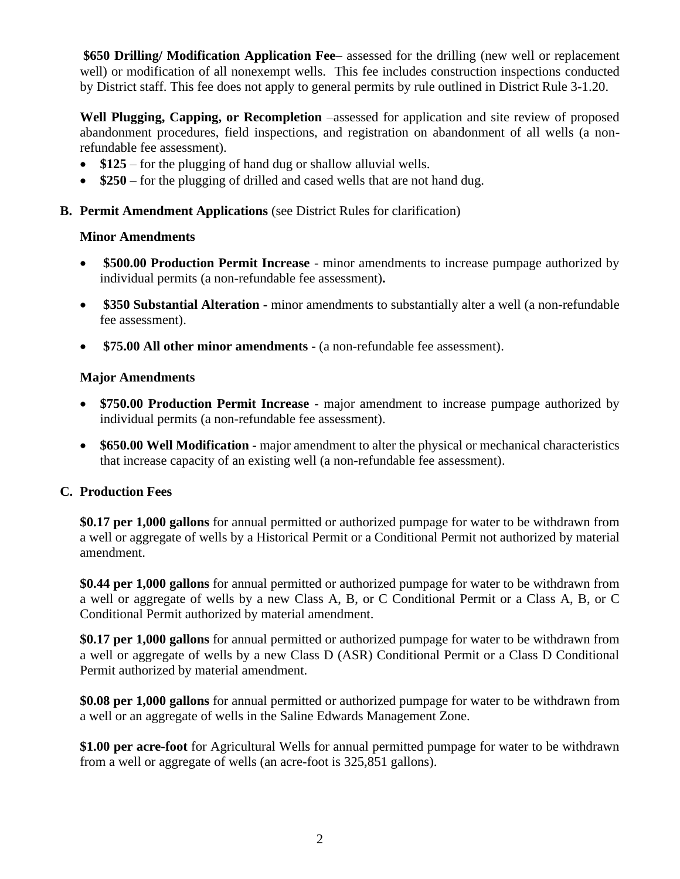**\$650 Drilling/ Modification Application Fee**– assessed for the drilling (new well or replacement well) or modification of all nonexempt wells. This fee includes construction inspections conducted by District staff. This fee does not apply to general permits by rule outlined in District Rule 3-1.20.

**Well Plugging, Capping, or Recompletion** –assessed for application and site review of proposed abandonment procedures, field inspections, and registration on abandonment of all wells (a nonrefundable fee assessment).

- **\$125** for the plugging of hand dug or shallow alluvial wells.
- **\$250** for the plugging of drilled and cased wells that are not hand dug.

#### **B. Permit Amendment Applications** (see District Rules for clarification)

#### **Minor Amendments**

- **\$500.00 Production Permit Increase** minor amendments to increase pumpage authorized by individual permits (a non-refundable fee assessment)**.**
- **\$350 Substantial Alteration -** minor amendments to substantially alter a well (a non-refundable fee assessment).
- **\$75.00 All other minor amendments -** (a non-refundable fee assessment).

#### **Major Amendments**

- **\$750.00 Production Permit Increase** major amendment to increase pumpage authorized by individual permits (a non-refundable fee assessment).
- **\$650.00 Well Modification -** major amendment to alter the physical or mechanical characteristics that increase capacity of an existing well (a non-refundable fee assessment).

## **C. Production Fees**

**\$0.17 per 1,000 gallons** for annual permitted or authorized pumpage for water to be withdrawn from a well or aggregate of wells by a Historical Permit or a Conditional Permit not authorized by material amendment.

**\$0.44 per 1,000 gallons** for annual permitted or authorized pumpage for water to be withdrawn from a well or aggregate of wells by a new Class A, B, or C Conditional Permit or a Class A, B, or C Conditional Permit authorized by material amendment.

**\$0.17 per 1,000 gallons** for annual permitted or authorized pumpage for water to be withdrawn from a well or aggregate of wells by a new Class D (ASR) Conditional Permit or a Class D Conditional Permit authorized by material amendment.

**\$0.08 per 1,000 gallons** for annual permitted or authorized pumpage for water to be withdrawn from a well or an aggregate of wells in the Saline Edwards Management Zone.

**\$1.00 per acre-foot** for Agricultural Wells for annual permitted pumpage for water to be withdrawn from a well or aggregate of wells (an acre-foot is 325,851 gallons).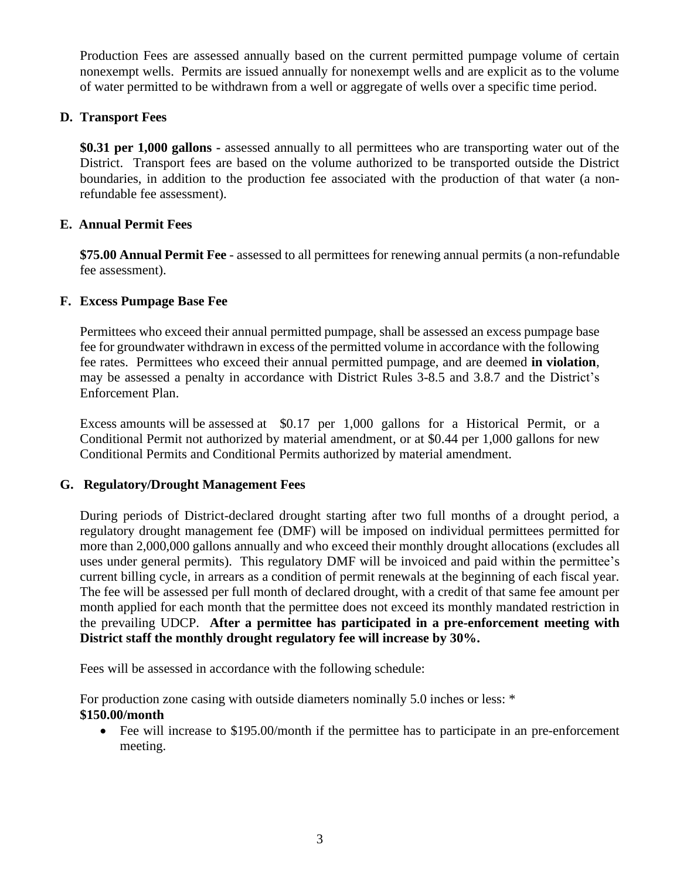Production Fees are assessed annually based on the current permitted pumpage volume of certain nonexempt wells. Permits are issued annually for nonexempt wells and are explicit as to the volume of water permitted to be withdrawn from a well or aggregate of wells over a specific time period.

#### **D. Transport Fees**

**\$0.31 per 1,000 gallons -** assessed annually to all permittees who are transporting water out of the District. Transport fees are based on the volume authorized to be transported outside the District boundaries, in addition to the production fee associated with the production of that water (a nonrefundable fee assessment).

#### **E. Annual Permit Fees**

**\$75.00 Annual Permit Fee** - assessed to all permittees for renewing annual permits (a non-refundable fee assessment).

#### **F. Excess Pumpage Base Fee**

Permittees who exceed their annual permitted pumpage, shall be assessed an excess pumpage base fee for groundwater withdrawn in excess of the permitted volume in accordance with the following fee rates. Permittees who exceed their annual permitted pumpage, and are deemed **in violation**, may be assessed a penalty in accordance with District Rules 3-8.5 and 3.8.7 and the District's Enforcement Plan.

Excess amounts will be assessed at \$0.17 per 1,000 gallons for a Historical Permit, or a Conditional Permit not authorized by material amendment, or at \$0.44 per 1,000 gallons for new Conditional Permits and Conditional Permits authorized by material amendment.

#### **G. Regulatory/Drought Management Fees**

During periods of District-declared drought starting after two full months of a drought period, a regulatory drought management fee (DMF) will be imposed on individual permittees permitted for more than 2,000,000 gallons annually and who exceed their monthly drought allocations (excludes all uses under general permits). This regulatory DMF will be invoiced and paid within the permittee's current billing cycle, in arrears as a condition of permit renewals at the beginning of each fiscal year. The fee will be assessed per full month of declared drought, with a credit of that same fee amount per month applied for each month that the permittee does not exceed its monthly mandated restriction in the prevailing UDCP. **After a permittee has participated in a pre-enforcement meeting with District staff the monthly drought regulatory fee will increase by 30%.** 

Fees will be assessed in accordance with the following schedule:

For production zone casing with outside diameters nominally 5.0 inches or less: \* **\$150.00/month**

• Fee will increase to \$195.00/month if the permittee has to participate in an pre-enforcement meeting.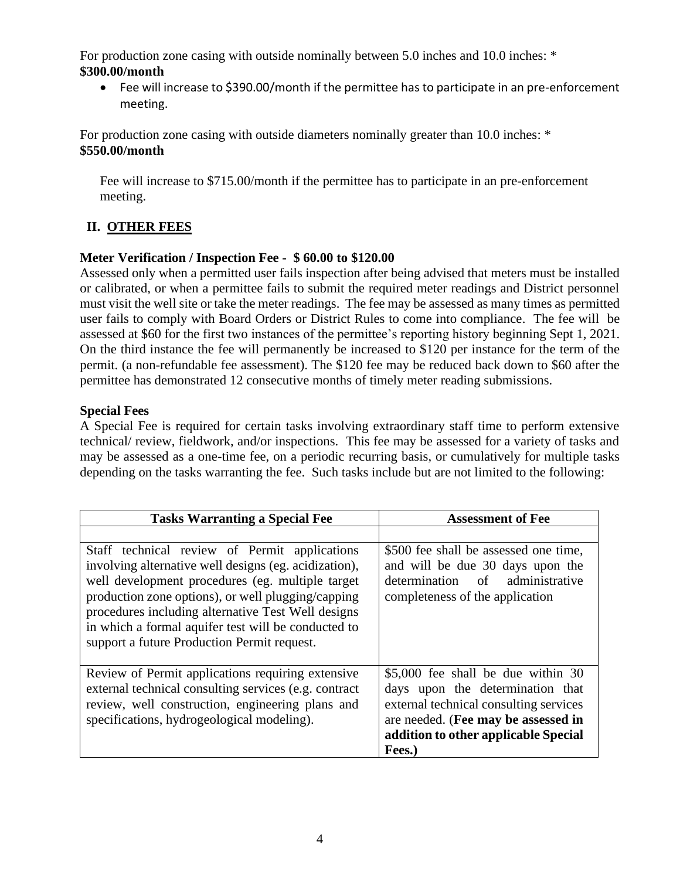For production zone casing with outside nominally between 5.0 inches and 10.0 inches: \* **\$300.00/month** 

• Fee will increase to \$390.00/month if the permittee has to participate in an pre-enforcement meeting.

For production zone casing with outside diameters nominally greater than 10.0 inches: \* **\$550.00/month**

Fee will increase to \$715.00/month if the permittee has to participate in an pre-enforcement meeting.

## **II. OTHER FEES**

## **Meter Verification / Inspection Fee - \$ 60.00 to \$120.00**

Assessed only when a permitted user fails inspection after being advised that meters must be installed or calibrated, or when a permittee fails to submit the required meter readings and District personnel must visit the well site or take the meter readings. The fee may be assessed as many times as permitted user fails to comply with Board Orders or District Rules to come into compliance. The fee will be assessed at \$60 for the first two instances of the permittee's reporting history beginning Sept 1, 2021. On the third instance the fee will permanently be increased to \$120 per instance for the term of the permit. (a non-refundable fee assessment). The \$120 fee may be reduced back down to \$60 after the permittee has demonstrated 12 consecutive months of timely meter reading submissions.

#### **Special Fees**

A Special Fee is required for certain tasks involving extraordinary staff time to perform extensive technical/ review, fieldwork, and/or inspections. This fee may be assessed for a variety of tasks and may be assessed as a one-time fee, on a periodic recurring basis, or cumulatively for multiple tasks depending on the tasks warranting the fee. Such tasks include but are not limited to the following:

| <b>Tasks Warranting a Special Fee</b>                                                                                                                                                                                                                                                                                                                                        | <b>Assessment of Fee</b>                                                                                                                                                                                  |
|------------------------------------------------------------------------------------------------------------------------------------------------------------------------------------------------------------------------------------------------------------------------------------------------------------------------------------------------------------------------------|-----------------------------------------------------------------------------------------------------------------------------------------------------------------------------------------------------------|
| Staff technical review of Permit applications<br>involving alternative well designs (eg. acidization),<br>well development procedures (eg. multiple target<br>production zone options), or well plugging/capping<br>procedures including alternative Test Well designs<br>in which a formal aquifer test will be conducted to<br>support a future Production Permit request. | \$500 fee shall be assessed one time,<br>and will be due 30 days upon the<br>determination of administrative<br>completeness of the application                                                           |
| Review of Permit applications requiring extensive<br>external technical consulting services (e.g. contract<br>review, well construction, engineering plans and<br>specifications, hydrogeological modeling).                                                                                                                                                                 | \$5,000 fee shall be due within 30<br>days upon the determination that<br>external technical consulting services<br>are needed. (Fee may be assessed in<br>addition to other applicable Special<br>Fees.) |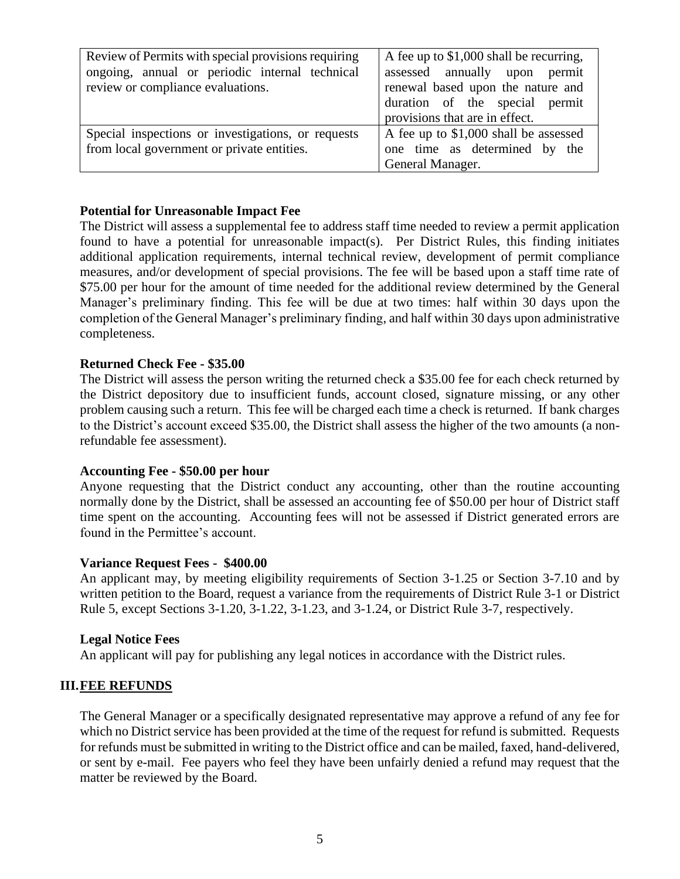| Review of Permits with special provisions requiring<br>ongoing, annual or periodic internal technical<br>review or compliance evaluations. | A fee up to \$1,000 shall be recurring,<br>assessed annually upon permit<br>renewal based upon the nature and<br>duration of the special permit<br>provisions that are in effect. |
|--------------------------------------------------------------------------------------------------------------------------------------------|-----------------------------------------------------------------------------------------------------------------------------------------------------------------------------------|
| Special inspections or investigations, or requests<br>from local government or private entities.                                           | A fee up to \$1,000 shall be assessed<br>one time as determined by the<br>General Manager.                                                                                        |

#### **Potential for Unreasonable Impact Fee**

The District will assess a supplemental fee to address staff time needed to review a permit application found to have a potential for unreasonable impact(s). Per District Rules, this finding initiates additional application requirements, internal technical review, development of permit compliance measures, and/or development of special provisions. The fee will be based upon a staff time rate of \$75.00 per hour for the amount of time needed for the additional review determined by the General Manager's preliminary finding. This fee will be due at two times: half within 30 days upon the completion of the General Manager's preliminary finding, and half within 30 days upon administrative completeness.

#### **Returned Check Fee - \$35.00**

The District will assess the person writing the returned check a \$35.00 fee for each check returned by the District depository due to insufficient funds, account closed, signature missing, or any other problem causing such a return. This fee will be charged each time a check is returned. If bank charges to the District's account exceed \$35.00, the District shall assess the higher of the two amounts (a nonrefundable fee assessment).

#### **Accounting Fee - \$50.00 per hour**

Anyone requesting that the District conduct any accounting, other than the routine accounting normally done by the District, shall be assessed an accounting fee of \$50.00 per hour of District staff time spent on the accounting. Accounting fees will not be assessed if District generated errors are found in the Permittee's account.

#### **Variance Request Fees - \$400.00**

An applicant may, by meeting eligibility requirements of Section 3-1.25 or Section 3-7.10 and by written petition to the Board, request a variance from the requirements of District Rule 3-1 or District Rule 5, except Sections 3-1.20, 3-1.22, 3-1.23, and 3-1.24, or District Rule 3-7, respectively.

#### **Legal Notice Fees**

An applicant will pay for publishing any legal notices in accordance with the District rules.

#### **III.FEE REFUNDS**

The General Manager or a specifically designated representative may approve a refund of any fee for which no District service has been provided at the time of the request for refund is submitted. Requests for refunds must be submitted in writing to the District office and can be mailed, faxed, hand-delivered, or sent by e-mail. Fee payers who feel they have been unfairly denied a refund may request that the matter be reviewed by the Board.